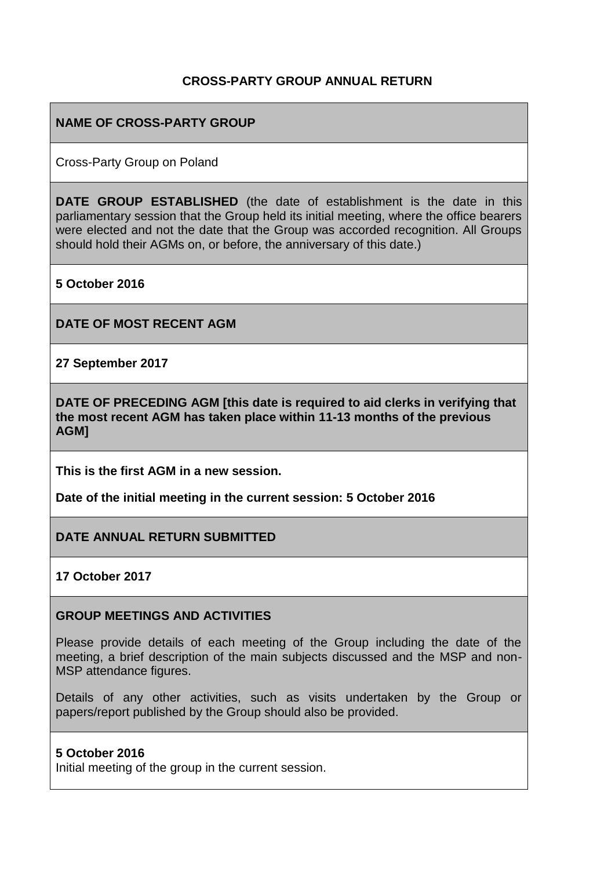### **CROSS-PARTY GROUP ANNUAL RETURN**

### **NAME OF CROSS-PARTY GROUP**

Cross-Party Group on Poland

**DATE GROUP ESTABLISHED** (the date of establishment is the date in this parliamentary session that the Group held its initial meeting, where the office bearers were elected and not the date that the Group was accorded recognition. All Groups should hold their AGMs on, or before, the anniversary of this date.)

**5 October 2016**

**DATE OF MOST RECENT AGM**

**27 September 2017**

**DATE OF PRECEDING AGM [this date is required to aid clerks in verifying that the most recent AGM has taken place within 11-13 months of the previous AGM]**

**This is the first AGM in a new session.**

**Date of the initial meeting in the current session: 5 October 2016**

**DATE ANNUAL RETURN SUBMITTED**

**17 October 2017**

#### **GROUP MEETINGS AND ACTIVITIES**

Please provide details of each meeting of the Group including the date of the meeting, a brief description of the main subjects discussed and the MSP and non-MSP attendance figures.

Details of any other activities, such as visits undertaken by the Group or papers/report published by the Group should also be provided.

### **5 October 2016**

Initial meeting of the group in the current session.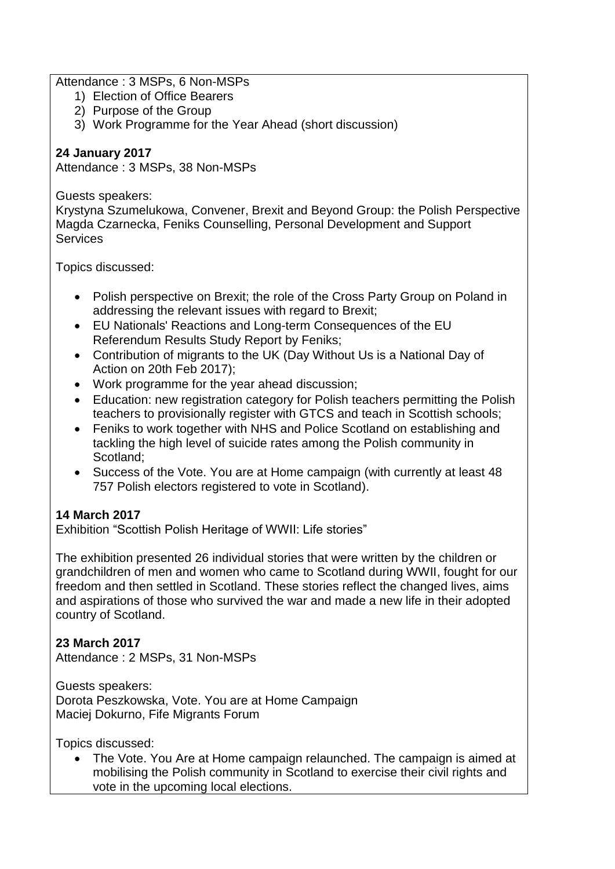Attendance : 3 MSPs, 6 Non-MSPs

- 1) Election of Office Bearers
- 2) Purpose of the Group
- 3) Work Programme for the Year Ahead (short discussion)

## **24 January 2017**

Attendance : 3 MSPs, 38 Non-MSPs

### Guests speakers:

Krystyna Szumelukowa, Convener, Brexit and Beyond Group: the Polish Perspective Magda Czarnecka, Feniks Counselling, Personal Development and Support **Services** 

Topics discussed:

- Polish perspective on Brexit; the role of the Cross Party Group on Poland in addressing the relevant issues with regard to Brexit;
- EU Nationals' Reactions and Long-term Consequences of the EU Referendum Results Study Report by Feniks;
- Contribution of migrants to the UK (Day Without Us is a National Day of Action on 20th Feb 2017);
- Work programme for the year ahead discussion;
- Education: new registration category for Polish teachers permitting the Polish teachers to provisionally register with GTCS and teach in Scottish schools;
- Feniks to work together with NHS and Police Scotland on establishing and tackling the high level of suicide rates among the Polish community in Scotland;
- Success of the Vote. You are at Home campaign (with currently at least 48 757 Polish electors registered to vote in Scotland).

## **14 March 2017**

Exhibition "Scottish Polish Heritage of WWII: Life stories"

The exhibition presented 26 individual stories that were written by the children or grandchildren of men and women who came to Scotland during WWII, fought for our freedom and then settled in Scotland. These stories reflect the changed lives, aims and aspirations of those who survived the war and made a new life in their adopted country of Scotland.

## **23 March 2017**

Attendance : 2 MSPs, 31 Non-MSPs

Guests speakers: Dorota Peszkowska, Vote. You are at Home Campaign Maciej Dokurno, Fife Migrants Forum

Topics discussed:

• The Vote. You Are at Home campaign relaunched. The campaign is aimed at mobilising the Polish community in Scotland to exercise their civil rights and vote in the upcoming local elections.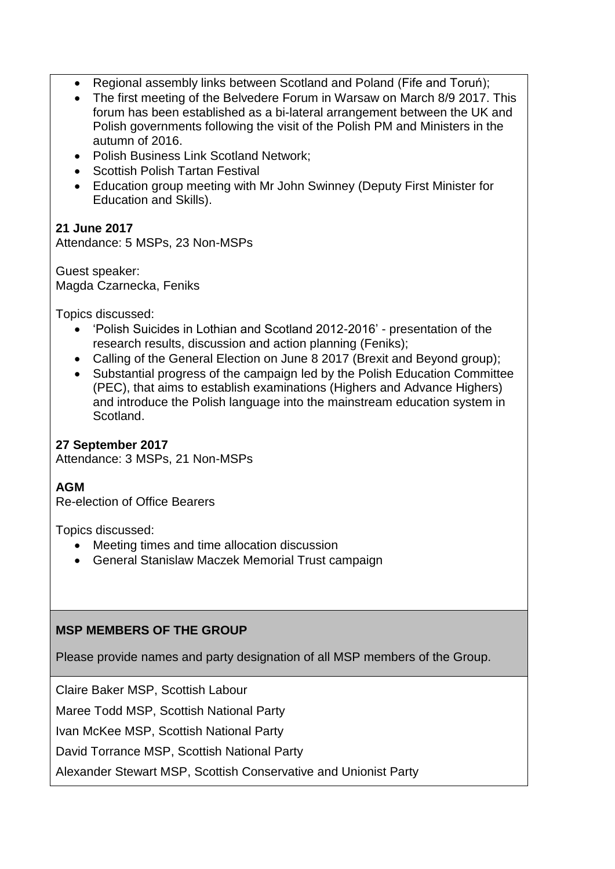- Regional assembly links between Scotland and Poland (Fife and Toruń);
- The first meeting of the Belvedere Forum in Warsaw on March 8/9 2017. This forum has been established as a bi-lateral arrangement between the UK and Polish governments following the visit of the Polish PM and Ministers in the autumn of 2016.
- Polish Business Link Scotland Network:
- Scottish Polish Tartan Festival
- Education group meeting with Mr John Swinney (Deputy First Minister for Education and Skills).

# **21 June 2017**

Attendance: 5 MSPs, 23 Non-MSPs

Guest speaker: Magda Czarnecka, Feniks

Topics discussed:

- 'Polish Suicides in Lothian and Scotland 2012-2016' presentation of the research results, discussion and action planning (Feniks);
- Calling of the General Election on June 8 2017 (Brexit and Beyond group);
- Substantial progress of the campaign led by the Polish Education Committee (PEC), that aims to establish examinations (Highers and Advance Highers) and introduce the Polish language into the mainstream education system in Scotland.

## **27 September 2017**

Attendance: 3 MSPs, 21 Non-MSPs

## **AGM**

Re-election of Office Bearers

Topics discussed:

- Meeting times and time allocation discussion
- General Stanislaw Maczek Memorial Trust campaign

## **MSP MEMBERS OF THE GROUP**

Please provide names and party designation of all MSP members of the Group.

Claire Baker MSP, Scottish Labour

Maree Todd MSP, Scottish National Party

Ivan McKee MSP, Scottish National Party

David Torrance MSP, Scottish National Party

Alexander Stewart MSP, Scottish Conservative and Unionist Party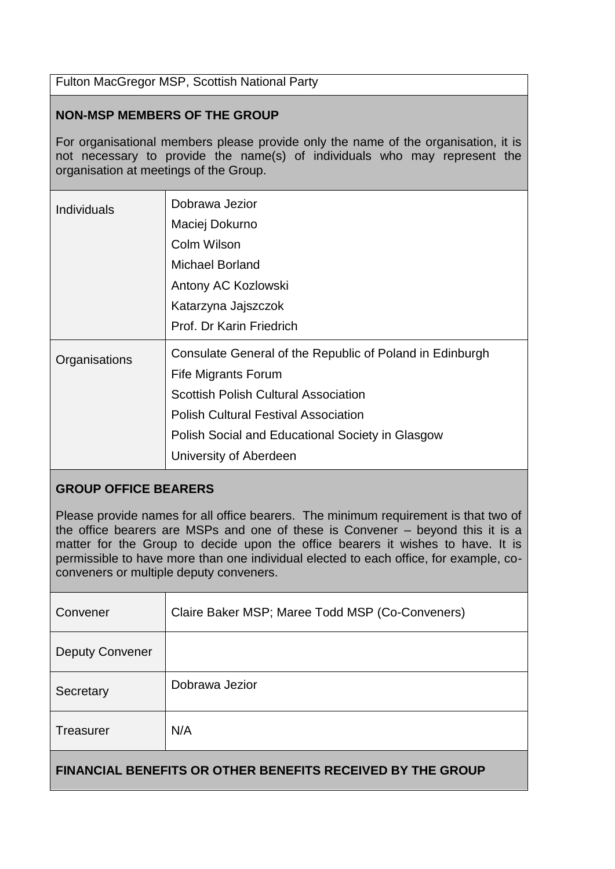Fulton MacGregor MSP, Scottish National Party

### **NON-MSP MEMBERS OF THE GROUP**

For organisational members please provide only the name of the organisation, it is not necessary to provide the name(s) of individuals who may represent the organisation at meetings of the Group.

| <b>Individuals</b> | Dobrawa Jezior<br>Maciej Dokurno<br>Colm Wilson<br>Michael Borland<br>Antony AC Kozlowski<br>Katarzyna Jajszczok<br>Prof. Dr Karin Friedrich                                                                                                                       |
|--------------------|--------------------------------------------------------------------------------------------------------------------------------------------------------------------------------------------------------------------------------------------------------------------|
| Organisations      | Consulate General of the Republic of Poland in Edinburgh<br><b>Fife Migrants Forum</b><br><b>Scottish Polish Cultural Association</b><br><b>Polish Cultural Festival Association</b><br>Polish Social and Educational Society in Glasgow<br>University of Aberdeen |

### **GROUP OFFICE BEARERS**

Please provide names for all office bearers. The minimum requirement is that two of the office bearers are MSPs and one of these is Convener – beyond this it is a matter for the Group to decide upon the office bearers it wishes to have. It is permissible to have more than one individual elected to each office, for example, coconveners or multiple deputy conveners.

| Convener                                                          | Claire Baker MSP; Maree Todd MSP (Co-Conveners) |  |
|-------------------------------------------------------------------|-------------------------------------------------|--|
| <b>Deputy Convener</b>                                            |                                                 |  |
| Secretary                                                         | Dobrawa Jezior                                  |  |
| <b>Treasurer</b>                                                  | N/A                                             |  |
| <b>FINANCIAL BENEFITS OR OTHER BENEFITS RECEIVED BY THE GROUP</b> |                                                 |  |